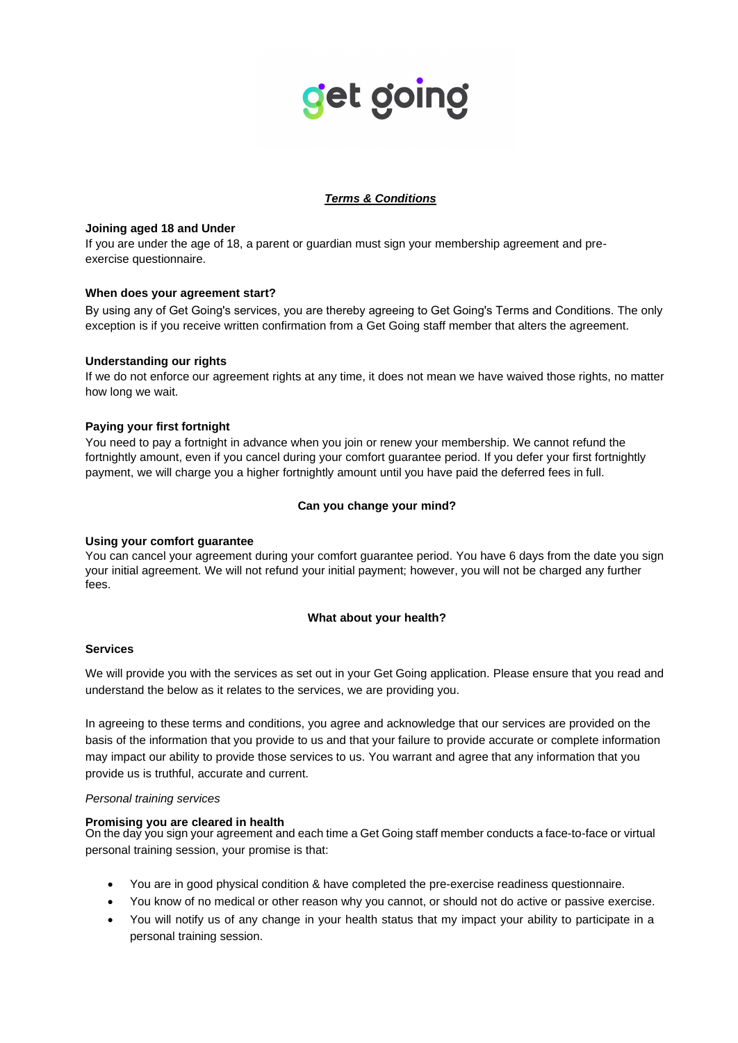# get going

# *Terms & Conditions*

## **Joining aged 18 and Under**

If you are under the age of 18, a parent or guardian must sign your membership agreement and preexercise questionnaire.

# **When does your agreement start?**

By using any of Get Going's services, you are thereby agreeing to Get Going's Terms and Conditions. The only exception is if you receive written confirmation from a Get Going staff member that alters the agreement.

# **Understanding our rights**

If we do not enforce our agreement rights at any time, it does not mean we have waived those rights, no matter how long we wait.

# **Paying your first fortnight**

You need to pay a fortnight in advance when you join or renew your membership. We cannot refund the fortnightly amount, even if you cancel during your comfort guarantee period. If you defer your first fortnightly payment, we will charge you a higher fortnightly amount until you have paid the deferred fees in full.

# **Can you change your mind?**

## **Using your comfort guarantee**

You can cancel your agreement during your comfort guarantee period. You have 6 days from the date you sign your initial agreement. We will not refund your initial payment; however, you will not be charged any further fees.

## **What about your health?**

## **Services**

We will provide you with the services as set out in your Get Going application. Please ensure that you read and understand the below as it relates to the services, we are providing you.

In agreeing to these terms and conditions, you agree and acknowledge that our services are provided on the basis of the information that you provide to us and that your failure to provide accurate or complete information may impact our ability to provide those services to us. You warrant and agree that any information that you provide us is truthful, accurate and current.

## *Personal training services*

## **Promising you are cleared in health**

On the day you sign your agreement and each time a Get Going staff member conducts a face-to-face or virtual personal training session, your promise is that:

- You are in good physical condition & have completed the pre-exercise readiness questionnaire.
- You know of no medical or other reason why you cannot, or should not do active or passive exercise.
- You will notify us of any change in your health status that my impact your ability to participate in a personal training session.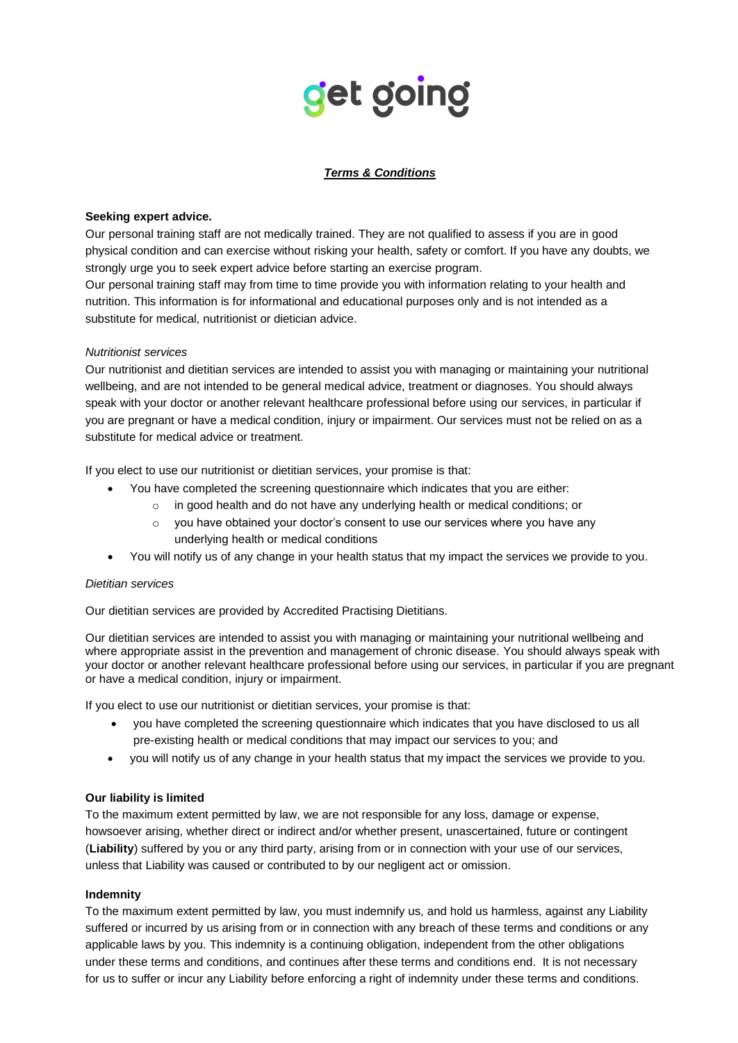# get going

# *Terms & Conditions*

## **Seeking expert advice.**

Our personal training staff are not medically trained. They are not qualified to assess if you are in good physical condition and can exercise without risking your health, safety or comfort. If you have any doubts, we strongly urge you to seek expert advice before starting an exercise program.

Our personal training staff may from time to time provide you with information relating to your health and nutrition. This information is for informational and educational purposes only and is not intended as a substitute for medical, nutritionist or dietician advice.

## *Nutritionist services*

Our nutritionist and dietitian services are intended to assist you with managing or maintaining your nutritional wellbeing, and are not intended to be general medical advice, treatment or diagnoses. You should always speak with your doctor or another relevant healthcare professional before using our services, in particular if you are pregnant or have a medical condition, injury or impairment. Our services must not be relied on as a substitute for medical advice or treatment.

If you elect to use our nutritionist or dietitian services, your promise is that:

- You have completed the screening questionnaire which indicates that you are either:
	- $\circ$  in good health and do not have any underlying health or medical conditions; or
	- $\circ$  you have obtained your doctor's consent to use our services where you have any underlying health or medical conditions
- You will notify us of any change in your health status that my impact the services we provide to you.

## *Dietitian services*

Our dietitian services are provided by Accredited Practising Dietitians.

Our dietitian services are intended to assist you with managing or maintaining your nutritional wellbeing and where appropriate assist in the prevention and management of chronic disease. You should always speak with your doctor or another relevant healthcare professional before using our services, in particular if you are pregnant or have a medical condition, injury or impairment.

If you elect to use our nutritionist or dietitian services, your promise is that:

- you have completed the screening questionnaire which indicates that you have disclosed to us all pre-existing health or medical conditions that may impact our services to you; and
- you will notify us of any change in your health status that my impact the services we provide to you.

# **Our liability is limited**

To the maximum extent permitted by law, we are not responsible for any loss, damage or expense, howsoever arising, whether direct or indirect and/or whether present, unascertained, future or contingent (**Liability**) suffered by you or any third party, arising from or in connection with your use of our services, unless that Liability was caused or contributed to by our negligent act or omission.

## **Indemnity**

To the maximum extent permitted by law, you must indemnify us, and hold us harmless, against any Liability suffered or incurred by us arising from or in connection with any breach of these terms and conditions or any applicable laws by you. This indemnity is a continuing obligation, independent from the other obligations under these terms and conditions, and continues after these terms and conditions end. It is not necessary for us to suffer or incur any Liability before enforcing a right of indemnity under these terms and conditions.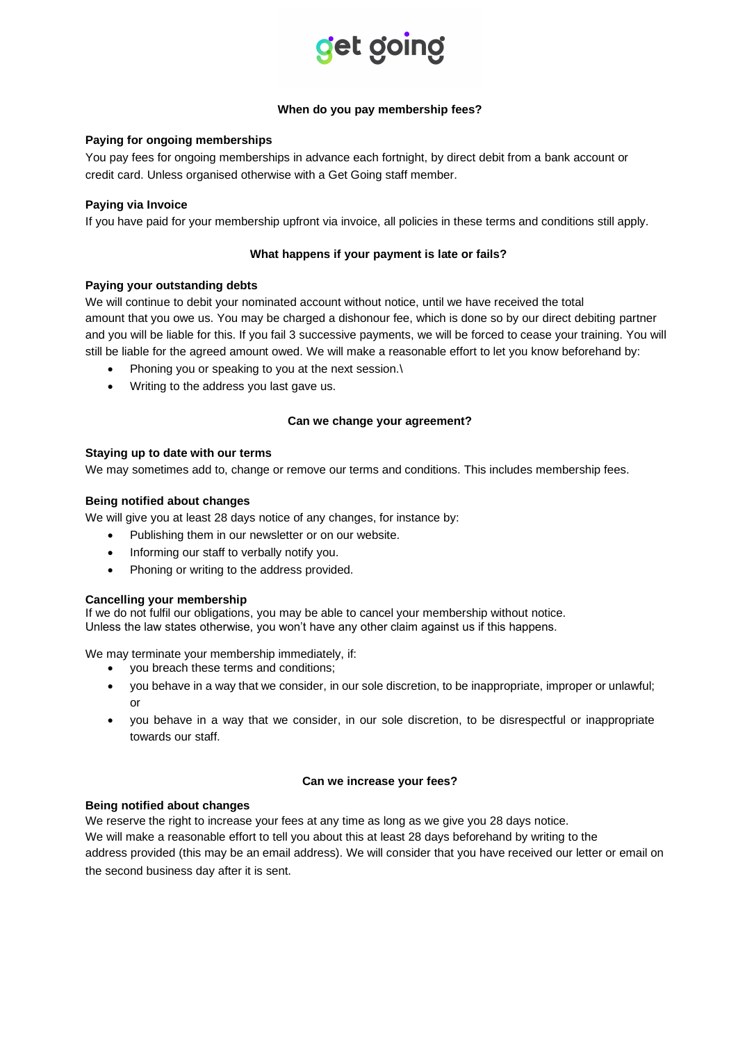

## **When do you pay membership fees?**

## **Paying for ongoing memberships**

You pay fees for ongoing memberships in advance each fortnight, by direct debit from a bank account or credit card. Unless organised otherwise with a Get Going staff member.

### **Paying via Invoice**

If you have paid for your membership upfront via invoice, all policies in these terms and conditions still apply.

### **What happens if your payment is late or fails?**

#### **Paying your outstanding debts**

We will continue to debit your nominated account without notice, until we have received the total amount that you owe us. You may be charged a dishonour fee, which is done so by our direct debiting partner and you will be liable for this. If you fail 3 successive payments, we will be forced to cease your training. You will still be liable for the agreed amount owed. We will make a reasonable effort to let you know beforehand by:

- Phoning you or speaking to you at the next session.\
- Writing to the address you last gave us.

## **Can we change your agreement?**

#### **Staying up to date with our terms**

We may sometimes add to, change or remove our terms and conditions. This includes membership fees.

#### **Being notified about changes**

We will give you at least 28 days notice of any changes, for instance by:

- Publishing them in our newsletter or on our website.
- Informing our staff to verbally notify you.
- Phoning or writing to the address provided.

#### **Cancelling your membership**

If we do not fulfil our obligations, you may be able to cancel your membership without notice. Unless the law states otherwise, you won't have any other claim against us if this happens.

We may terminate your membership immediately, if:

- you breach these terms and conditions;
- you behave in a way that we consider, in our sole discretion, to be inappropriate, improper or unlawful; or
- you behave in a way that we consider, in our sole discretion, to be disrespectful or inappropriate towards our staff.

#### **Can we increase your fees?**

## **Being notified about changes**

We reserve the right to increase your fees at any time as long as we give you 28 days notice. We will make a reasonable effort to tell you about this at least 28 days beforehand by writing to the address provided (this may be an email address). We will consider that you have received our letter or email on the second business day after it is sent.